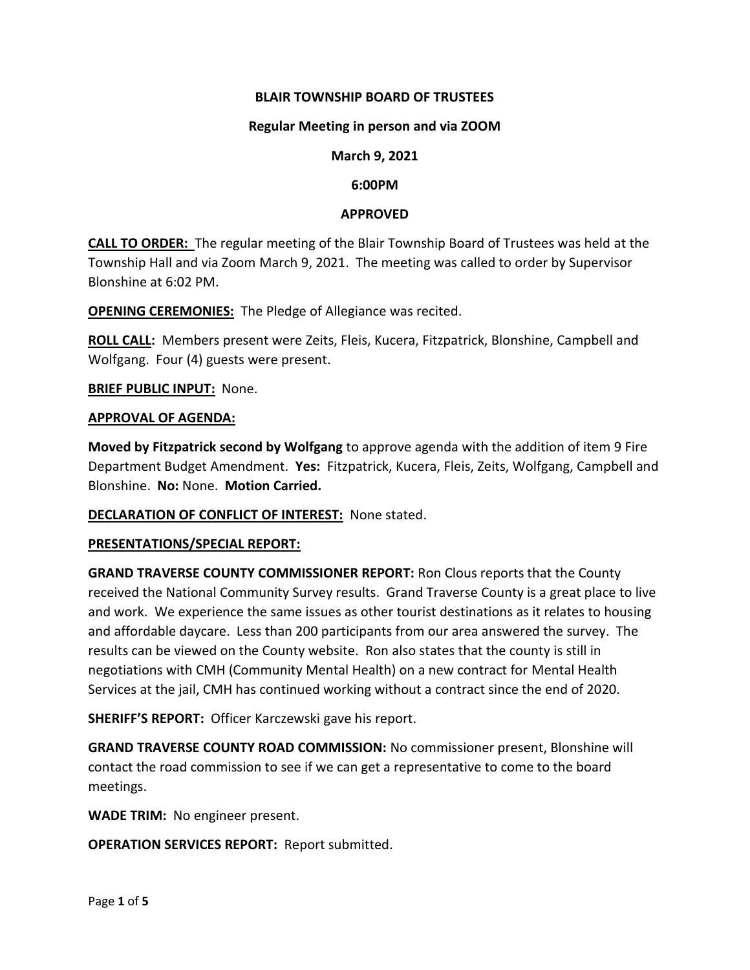### **BLAIR TOWNSHIP BOARD OF TRUSTEES**

#### **Regular Meeting in person and via ZOOM**

#### **March 9, 2021**

#### **6:00PM**

#### **APPROVED**

**CALL TO ORDER:** The regular meeting of the Blair Township Board of Trustees was held at the Township Hall and via Zoom March 9, 2021. The meeting was called to order by Supervisor Blonshine at 6:02 PM.

**OPENING CEREMONIES:** The Pledge of Allegiance was recited.

**ROLL CALL:** Members present were Zeits, Fleis, Kucera, Fitzpatrick, Blonshine, Campbell and Wolfgang. Four (4) guests were present.

**BRIEF PUBLIC INPUT:** None.

#### **APPROVAL OF AGENDA:**

**Moved by Fitzpatrick second by Wolfgang** to approve agenda with the addition of item 9 Fire Department Budget Amendment. **Yes:** Fitzpatrick, Kucera, Fleis, Zeits, Wolfgang, Campbell and Blonshine. **No:** None. **Motion Carried.**

#### **DECLARATION OF CONFLICT OF INTEREST:** None stated.

#### **PRESENTATIONS/SPECIAL REPORT:**

**GRAND TRAVERSE COUNTY COMMISSIONER REPORT:** Ron Clous reports that the County received the National Community Survey results. Grand Traverse County is a great place to live and work. We experience the same issues as other tourist destinations as it relates to housing and affordable daycare. Less than 200 participants from our area answered the survey. The results can be viewed on the County website. Ron also states that the county is still in negotiations with CMH (Community Mental Health) on a new contract for Mental Health Services at the jail, CMH has continued working without a contract since the end of 2020.

**SHERIFF'S REPORT:** Officer Karczewski gave his report.

**GRAND TRAVERSE COUNTY ROAD COMMISSION:** No commissioner present, Blonshine will contact the road commission to see if we can get a representative to come to the board meetings.

**WADE TRIM:** No engineer present.

**OPERATION SERVICES REPORT:** Report submitted.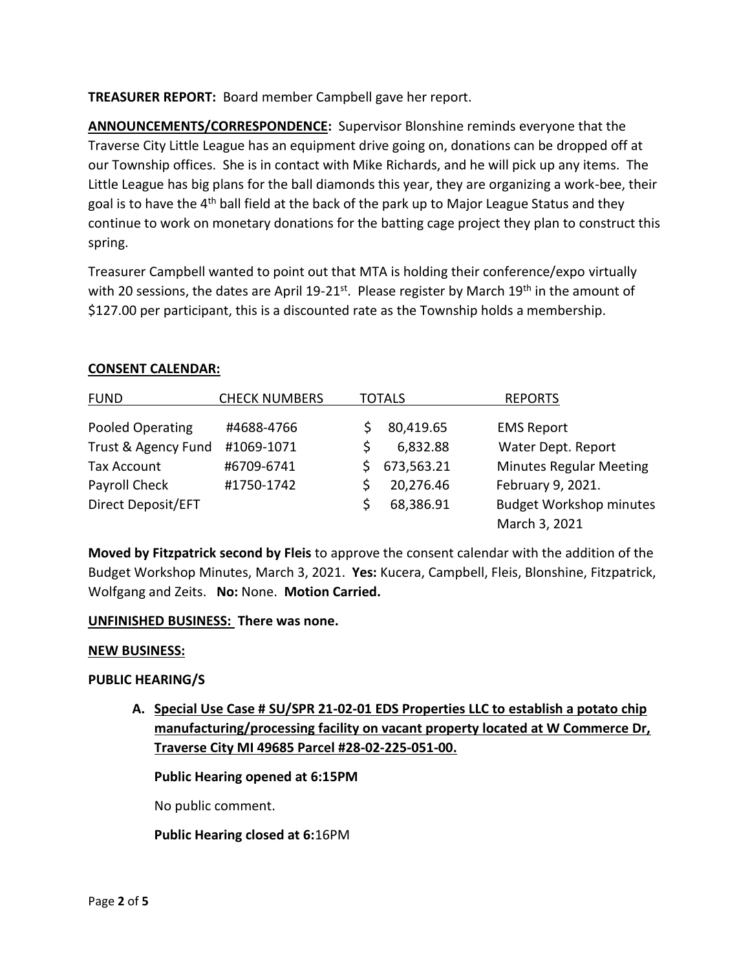**TREASURER REPORT:** Board member Campbell gave her report.

**ANNOUNCEMENTS/CORRESPONDENCE:** Supervisor Blonshine reminds everyone that the Traverse City Little League has an equipment drive going on, donations can be dropped off at our Township offices. She is in contact with Mike Richards, and he will pick up any items. The Little League has big plans for the ball diamonds this year, they are organizing a work-bee, their goal is to have the  $4<sup>th</sup>$  ball field at the back of the park up to Major League Status and they continue to work on monetary donations for the batting cage project they plan to construct this spring.

Treasurer Campbell wanted to point out that MTA is holding their conference/expo virtually with 20 sessions, the dates are April 19-21<sup>st</sup>. Please register by March 19<sup>th</sup> in the amount of \$127.00 per participant, this is a discounted rate as the Township holds a membership.

| <b>FUND</b>         | <b>CHECK NUMBERS</b> | <b>TOTALS</b> |            | <b>REPORTS</b>                 |
|---------------------|----------------------|---------------|------------|--------------------------------|
| Pooled Operating    | #4688-4766           |               | 80,419.65  | <b>EMS Report</b>              |
| Trust & Agency Fund | #1069-1071           |               | 6,832.88   | Water Dept. Report             |
| <b>Tax Account</b>  | #6709-6741           |               | 673,563.21 | <b>Minutes Regular Meeting</b> |
| Payroll Check       | #1750-1742           |               | 20,276.46  | February 9, 2021.              |
| Direct Deposit/EFT  |                      |               | 68,386.91  | <b>Budget Workshop minutes</b> |
|                     |                      |               |            | March 3, 2021                  |

### **CONSENT CALENDAR:**

**Moved by Fitzpatrick second by Fleis** to approve the consent calendar with the addition of the Budget Workshop Minutes, March 3, 2021. **Yes:** Kucera, Campbell, Fleis, Blonshine, Fitzpatrick, Wolfgang and Zeits. **No:** None. **Motion Carried.**

### **UNFINISHED BUSINESS: There was none.**

### **NEW BUSINESS:**

# **PUBLIC HEARING/S**

**A. Special Use Case # SU/SPR 21-02-01 EDS Properties LLC to establish a potato chip manufacturing/processing facility on vacant property located at W Commerce Dr, Traverse City MI 49685 Parcel #28-02-225-051-00.**

**Public Hearing opened at 6:15PM**

No public comment.

**Public Hearing closed at 6:**16PM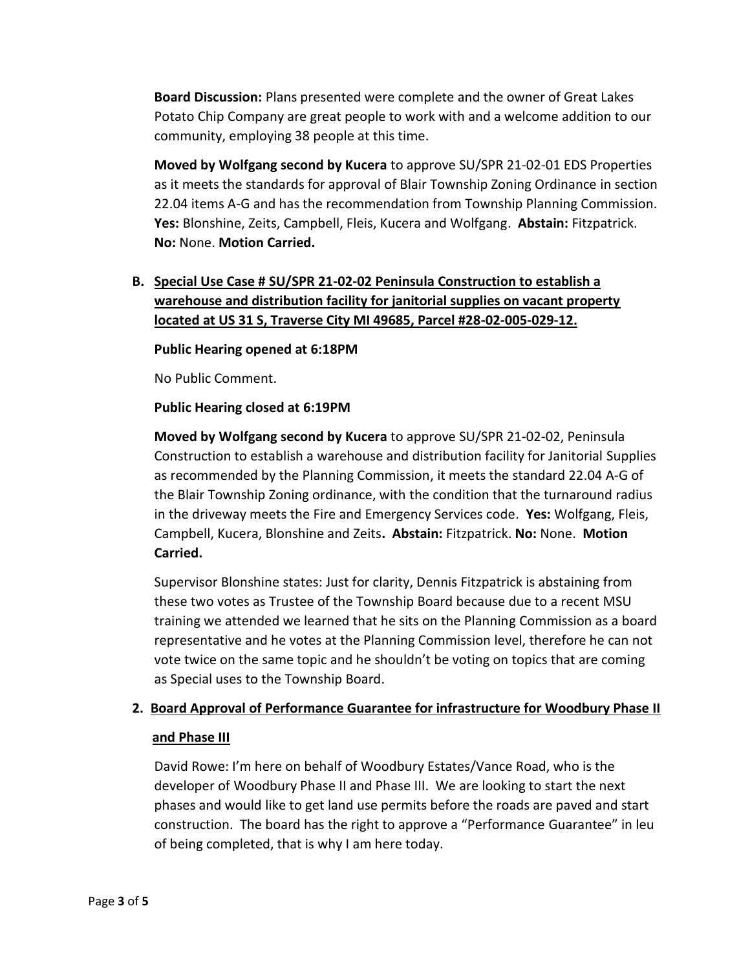**Board Discussion:** Plans presented were complete and the owner of Great Lakes Potato Chip Company are great people to work with and a welcome addition to our community, employing 38 people at this time.

**Moved by Wolfgang second by Kucera** to approve SU/SPR 21-02-01 EDS Properties as it meets the standards for approval of Blair Township Zoning Ordinance in section 22.04 items A-G and has the recommendation from Township Planning Commission. **Yes:** Blonshine, Zeits, Campbell, Fleis, Kucera and Wolfgang. **Abstain:** Fitzpatrick. **No:** None. **Motion Carried.**

# **B. Special Use Case # SU/SPR 21-02-02 Peninsula Construction to establish a warehouse and distribution facility for janitorial supplies on vacant property located at US 31 S, Traverse City MI 49685, Parcel #28-02-005-029-12.**

### **Public Hearing opened at 6:18PM**

No Public Comment.

### **Public Hearing closed at 6:19PM**

**Moved by Wolfgang second by Kucera** to approve SU/SPR 21-02-02, Peninsula Construction to establish a warehouse and distribution facility for Janitorial Supplies as recommended by the Planning Commission, it meets the standard 22.04 A-G of the Blair Township Zoning ordinance, with the condition that the turnaround radius in the driveway meets the Fire and Emergency Services code. **Yes:** Wolfgang, Fleis, Campbell, Kucera, Blonshine and Zeits**. Abstain:** Fitzpatrick. **No:** None. **Motion Carried.**

Supervisor Blonshine states: Just for clarity, Dennis Fitzpatrick is abstaining from these two votes as Trustee of the Township Board because due to a recent MSU training we attended we learned that he sits on the Planning Commission as a board representative and he votes at the Planning Commission level, therefore he can not vote twice on the same topic and he shouldn't be voting on topics that are coming as Special uses to the Township Board.

# **2. Board Approval of Performance Guarantee for infrastructure for Woodbury Phase II**

#### **and Phase III**

David Rowe: I'm here on behalf of Woodbury Estates/Vance Road, who is the developer of Woodbury Phase II and Phase III. We are looking to start the next phases and would like to get land use permits before the roads are paved and start construction. The board has the right to approve a "Performance Guarantee" in leu of being completed, that is why I am here today.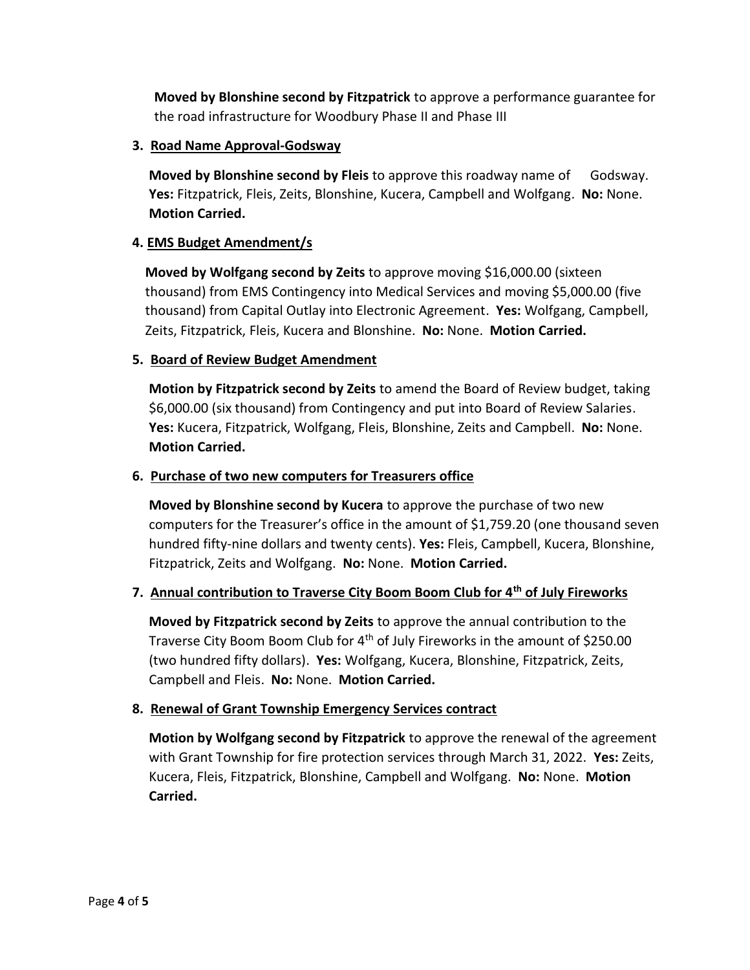**Moved by Blonshine second by Fitzpatrick** to approve a performance guarantee for the road infrastructure for Woodbury Phase II and Phase III

# **3. Road Name Approval-Godsway**

**Moved by Blonshine second by Fleis** to approve this roadway name of Godsway. **Yes:** Fitzpatrick, Fleis, Zeits, Blonshine, Kucera, Campbell and Wolfgang. **No:** None. **Motion Carried.**

# **4. EMS Budget Amendment/s**

**Moved by Wolfgang second by Zeits** to approve moving \$16,000.00 (sixteen thousand) from EMS Contingency into Medical Services and moving \$5,000.00 (five thousand) from Capital Outlay into Electronic Agreement. **Yes:** Wolfgang, Campbell, Zeits, Fitzpatrick, Fleis, Kucera and Blonshine. **No:** None. **Motion Carried.**

# **5. Board of Review Budget Amendment**

**Motion by Fitzpatrick second by Zeits** to amend the Board of Review budget, taking \$6,000.00 (six thousand) from Contingency and put into Board of Review Salaries. **Yes:** Kucera, Fitzpatrick, Wolfgang, Fleis, Blonshine, Zeits and Campbell. **No:** None. **Motion Carried.**

### **6. Purchase of two new computers for Treasurers office**

**Moved by Blonshine second by Kucera** to approve the purchase of two new computers for the Treasurer's office in the amount of \$1,759.20 (one thousand seven hundred fifty-nine dollars and twenty cents). **Yes:** Fleis, Campbell, Kucera, Blonshine, Fitzpatrick, Zeits and Wolfgang. **No:** None. **Motion Carried.** 

# **7. Annual contribution to Traverse City Boom Boom Club for 4th of July Fireworks**

**Moved by Fitzpatrick second by Zeits** to approve the annual contribution to the Traverse City Boom Boom Club for 4th of July Fireworks in the amount of \$250.00 (two hundred fifty dollars). **Yes:** Wolfgang, Kucera, Blonshine, Fitzpatrick, Zeits, Campbell and Fleis. **No:** None. **Motion Carried.**

### **8. Renewal of Grant Township Emergency Services contract**

**Motion by Wolfgang second by Fitzpatrick** to approve the renewal of the agreement with Grant Township for fire protection services through March 31, 2022. **Yes:** Zeits, Kucera, Fleis, Fitzpatrick, Blonshine, Campbell and Wolfgang. **No:** None. **Motion Carried.**